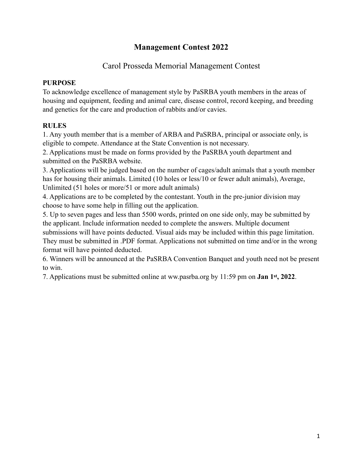## **Management Contest 2022**

### Carol Prosseda Memorial Management Contest

#### **PURPOSE**

To acknowledge excellence of management style by PaSRBA youth members in the areas of housing and equipment, feeding and animal care, disease control, record keeping, and breeding and genetics for the care and production of rabbits and/or cavies.

### **RULES**

1. Any youth member that is a member of ARBA and PaSRBA, principal or associate only, is eligible to compete. Attendance at the State Convention is not necessary.

2. Applications must be made on forms provided by the PaSRBA youth department and submitted on the PaSRBA website.

3. Applications will be judged based on the number of cages/adult animals that a youth member has for housing their animals. Limited (10 holes or less/10 or fewer adult animals), Average, Unlimited (51 holes or more/51 or more adult animals)

4. Applications are to be completed by the contestant. Youth in the pre-junior division may choose to have some help in filling out the application.

5. Up to seven pages and less than 5500 words, printed on one side only, may be submitted by the applicant. Include information needed to complete the answers. Multiple document submissions will have points deducted. Visual aids may be included within this page limitation. They must be submitted in .PDF format. Applications not submitted on time and/or in the wrong format will have pointed deducted.

6. Winners will be announced at the PaSRBA Convention Banquet and youth need not be present to win.

7. Applications must be submitted online at ww.pasrba.org by 11:59 pm on **Jan 1st, 2022**.